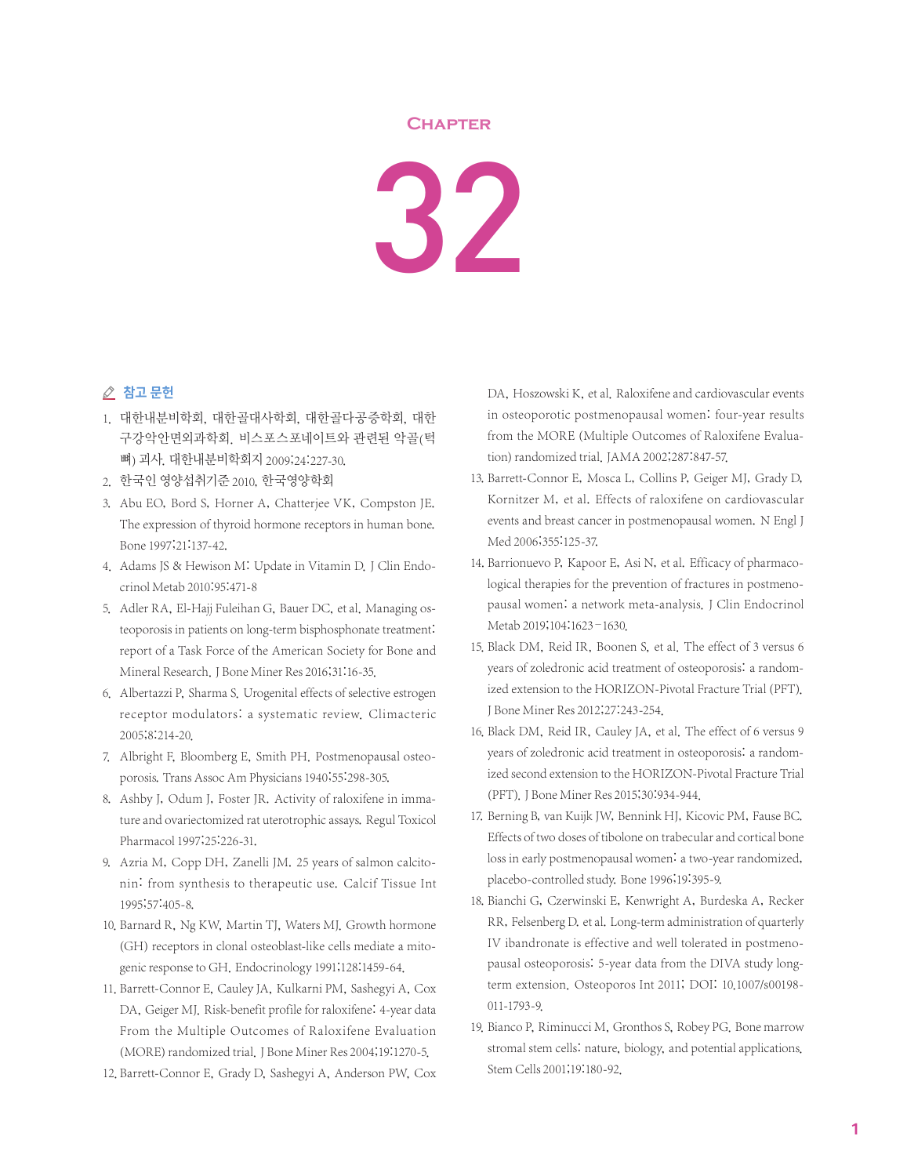## **Chapter**

32

## ⊘ 참고 문헌

- 1. 대한내분비학회, 대한골대사학회, 대한골다공증학회, 대한 구강악안면외과학회. 비스포스포네이트와 관련된 악골(턱 뼈) 괴사. 대한내분비학회지 2009;24:227-30.
- 2. 한국인 영양섭취기준 2010, 한국영양학회
- 3. Abu EO, Bord S, Horner A, Chatterjee VK, Compston JE. The expression of thyroid hormone receptors in human bone. Bone 1997;21:137-42.
- 4. Adams JS & Hewison M: Update in Vitamin D. J Clin Endocrinol Metab 2010:95:471-8
- 5. Adler RA, El-Hajj Fuleihan G, Bauer DC, et al. Managing osteoporosis in patients on long-term bisphosphonate treatment: report of a Task Force of the American Society for Bone and Mineral Research. J Bone Miner Res 2016;31:16-35.
- 6. Albertazzi P, Sharma S. Urogenital effects of selective estrogen receptor modulators: a systematic review. Climacteric 2005;8:214-20.
- 7. Albright F, Bloomberg E, Smith PH. Postmenopausal osteoporosis. Trans Assoc Am Physicians 1940;55:298-305.
- 8. Ashby J, Odum J, Foster JR. Activity of raloxifene in immature and ovariectomized rat uterotrophic assays. Regul Toxicol Pharmacol 1997;25:226-31.
- 9. Azria M, Copp DH, Zanelli JM. 25 years of salmon calcitonin: from synthesis to therapeutic use. Calcif Tissue Int 1995;57:405-8.
- 10. Barnard R, Ng KW, Martin TJ, Waters MJ. Growth hormone (GH) receptors in clonal osteoblast-like cells mediate a mitogenic response to GH. Endocrinology 1991;128:1459-64.
- 11. Barrett-Connor E, Cauley JA, Kulkarni PM, Sashegyi A, Cox DA, Geiger MJ. Risk-benefit profile for raloxifene: 4-year data From the Multiple Outcomes of Raloxifene Evaluation (MORE) randomized trial. J Bone Miner Res 2004;19:1270-5.
- 12. Barrett-Connor E, Grady D, Sashegyi A, Anderson PW, Cox

DA, Hoszowski K, et al. Raloxifene and cardiovascular events in osteoporotic postmenopausal women: four-year results from the MORE (Multiple Outcomes of Raloxifene Evaluation) randomized trial. JAMA 2002;287:847-57.

- 13. Barrett-Connor E, Mosca L, Collins P, Geiger MJ, Grady D, Kornitzer M, et al. Effects of raloxifene on cardiovascular events and breast cancer in postmenopausal women. N Engl J Med 2006;355:125-37.
- 14. Barrionuevo P, Kapoor E, Asi N, et al. Efficacy of pharmacological therapies for the prevention of fractures in postmenopausal women: a network meta-analysis. J Clin Endocrinol Metab 2019;104:1623–1630.
- 15. Black DM, Reid IR, Boonen S, et al. The effect of 3 versus 6 years of zoledronic acid treatment of osteoporosis: a randomized extension to the HORIZON-Pivotal Fracture Trial (PFT). J Bone Miner Res 2012;27:243-254.
- 16. Black DM, Reid IR, Cauley JA, et al. The effect of 6 versus 9 years of zoledronic acid treatment in osteoporosis: a randomized second extension to the HORIZON-Pivotal Fracture Trial (PFT). J Bone Miner Res 2015;30:934-944.
- 17. Berning B, van Kuijk JW, Bennink HJ, Kicovic PM, Fause BC. Effects of two doses of tibolone on trabecular and cortical bone loss in early postmenopausal women: a two-year randomized, placebo-controlled study. Bone 1996;19:395-9.
- 18. Bianchi G, Czerwinski E, Kenwright A, Burdeska A, Recker RR, Felsenberg D. et al. Long-term administration of quarterly IV ibandronate is effective and well tolerated in postmenopausal osteoporosis: 5-year data from the DIVA study longterm extension. Osteoporos Int 2011; DOI: 10.1007/s00198- 011-1793-9.
- 19. Bianco P, Riminucci M, Gronthos S, Robey PG. Bone marrow stromal stem cells: nature, biology, and potential applications. Stem Cells 2001;19:180-92.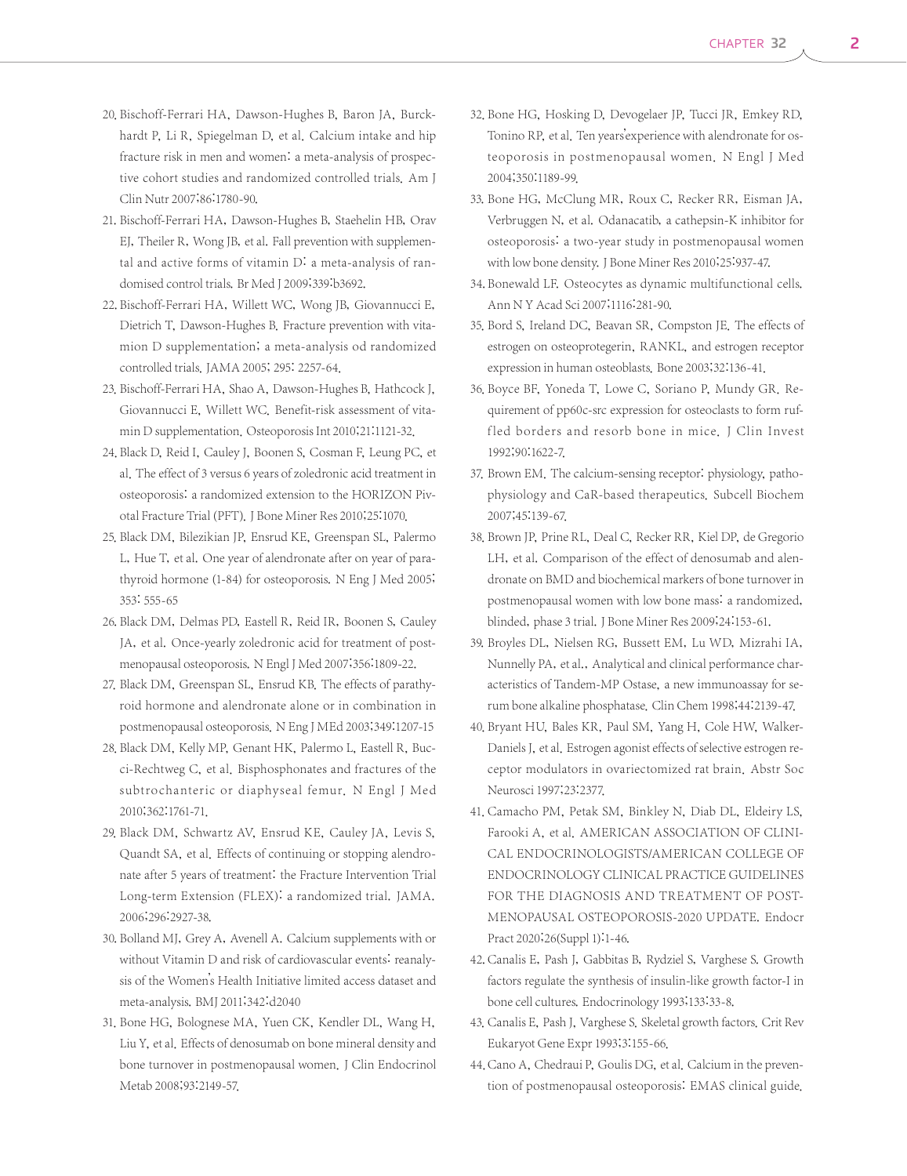- 20. Bischoff-Ferrari HA, Dawson-Hughes B, Baron JA, Burckhardt P, Li R, Spiegelman D, et al. Calcium intake and hip fracture risk in men and women: a meta-analysis of prospective cohort studies and randomized controlled trials. Am J Clin Nutr 2007;86:1780-90.
- 21. Bischoff-Ferrari HA, Dawson-Hughes B, Staehelin HB, Orav EJ, Theiler R, Wong JB, et al. Fall prevention with supplemental and active forms of vitamin D: a meta-analysis of randomised control trials. Br Med J 2009;339:b3692.
- 22. Bischoff-Ferrari HA, Willett WC, Wong JB, Giovannucci E, Dietrich T, Dawson-Hughes B. Fracture prevention with vitamion D supplementation; a meta-analysis od randomized controlled trials. JAMA 2005; 295: 2257-64.
- 23. Bischoff-Ferrari HA, Shao A, Dawson-Hughes B, Hathcock J, Giovannucci E, Willett WC. Benefit-risk assessment of vitamin D supplementation. Osteoporosis Int 2010;21:1121-32.
- 24. Black D, Reid I, Cauley J, Boonen S, Cosman F, Leung PC, et al. The effect of 3 versus 6 years of zoledronic acid treatment in osteoporosis: a randomized extension to the HORIZON Pivotal Fracture Trial (PFT). J Bone Miner Res 2010;25:1070.
- 25. Black DM, Bilezikian JP, Ensrud KE, Greenspan SL, Palermo L, Hue T, et al. One year of alendronate after on year of parathyroid hormone (1-84) for osteoporosis. N Eng J Med 2005; 353: 555-65
- 26. Black DM, Delmas PD, Eastell R, Reid IR, Boonen S, Cauley JA, et al. Once-yearly zoledronic acid for treatment of postmenopausal osteoporosis. N Engl J Med 2007;356:1809-22.
- 27. Black DM, Greenspan SL, Ensrud KB. The effects of parathyroid hormone and alendronate alone or in combination in postmenopausal osteoporosis. N Eng J MEd 2003;349:1207-15
- 28. Black DM, Kelly MP, Genant HK, Palermo L, Eastell R, Bucci-Rechtweg C, et al. Bisphosphonates and fractures of the subtrochanteric or diaphyseal femur. N Engl J Med 2010;362:1761-71.
- 29. Black DM, Schwartz AV, Ensrud KE, Cauley JA, Levis S, Quandt SA, et al. Effects of continuing or stopping alendronate after 5 years of treatment: the Fracture Intervention Trial Long-term Extension (FLEX): a randomized trial. JAMA. 2006;296:2927-38.
- 30. Bolland MJ, Grey A, Avenell A. Calcium supplements with or without Vitamin D and risk of cardiovascular events: reanalysis of the Women's Health Initiative limited access dataset and meta-analysis. BMJ 2011;342:d2040
- 31. Bone HG, Bolognese MA, Yuen CK, Kendler DL, Wang H, Liu Y, et al. Effects of denosumab on bone mineral density and bone turnover in postmenopausal women. J Clin Endocrinol Metab 2008;93:2149-57.
- 32. Bone HG, Hosking D, Devogelaer JP, Tucci JR, Emkey RD, Tonino RP, et al. Ten years'experience with alendronate for osteoporosis in postmenopausal women. N Engl J Med 2004;350:1189-99.
- 33. Bone HG, McClung MR, Roux C, Recker RR, Eisman JA, Verbruggen N, et al. Odanacatib, a cathepsin-K inhibitor for osteoporosis: a two-year study in postmenopausal women with low bone density. J Bone Miner Res 2010;25:937-47.
- 34. Bonewald LF. Osteocytes as dynamic multifunctional cells. Ann N Y Acad Sci 2007;1116:281-90.
- 35. Bord S, Ireland DC, Beavan SR, Compston JE. The effects of estrogen on osteoprotegerin, RANKL, and estrogen receptor expression in human osteoblasts. Bone 2003;32:136-41.
- 36. Boyce BF, Yoneda T, Lowe C, Soriano P, Mundy GR. Requirement of pp60c-src expression for osteoclasts to form ruffled borders and resorb bone in mice. J Clin Invest 1992;90:1622-7.
- 37. Brown EM. The calcium-sensing receptor: physiology, pathophysiology and CaR-based therapeutics. Subcell Biochem 2007;45:139-67.
- 38. Brown JP, Prine RL, Deal C, Recker RR, Kiel DP, de Gregorio LH, et al. Comparison of the effect of denosumab and alendronate on BMD and biochemical markers of bone turnover in postmenopausal women with low bone mass: a randomized, blinded, phase 3 trial. J Bone Miner Res 2009;24:153-61.
- 39. Broyles DL, Nielsen RG, Bussett EM, Lu WD, Mizrahi IA, Nunnelly PA, et al., Analytical and clinical performance characteristics of Tandem-MP Ostase, a new immunoassay for serum bone alkaline phosphatase. Clin Chem 1998;44:2139-47.
- 40. Bryant HU, Bales KR, Paul SM, Yang H, Cole HW, Walker-Daniels J, et al. Estrogen agonist effects of selective estrogen receptor modulators in ovariectomized rat brain. Abstr Soc Neurosci 1997;23:2377.
- 41. Camacho PM, Petak SM, Binkley N, Diab DL, Eldeiry LS, Farooki A, et al. AMERICAN ASSOCIATION OF CLINI-CAL ENDOCRINOLOGISTS/AMERICAN COLLEGE OF ENDOCRINOLOGY CLINICAL PRACTICE GUIDELINES FOR THE DIAGNOSIS AND TREATMENT OF POST-MENOPAUSAL OSTEOPOROSIS-2020 UPDATE. Endocr Pract 2020;26(Suppl 1):1-46.
- 42. Canalis E, Pash J, Gabbitas B, Rydziel S, Varghese S. Growth factors regulate the synthesis of insulin-like growth factor-I in bone cell cultures. Endocrinology 1993;133:33-8.
- 43. Canalis E, Pash J, Varghese S. Skeletal growth factors. Crit Rev Eukaryot Gene Expr 1993;3:155-66.
- 44. Cano A, Chedraui P, Goulis DG, et al. Calcium in the prevention of postmenopausal osteoporosis: EMAS clinical guide.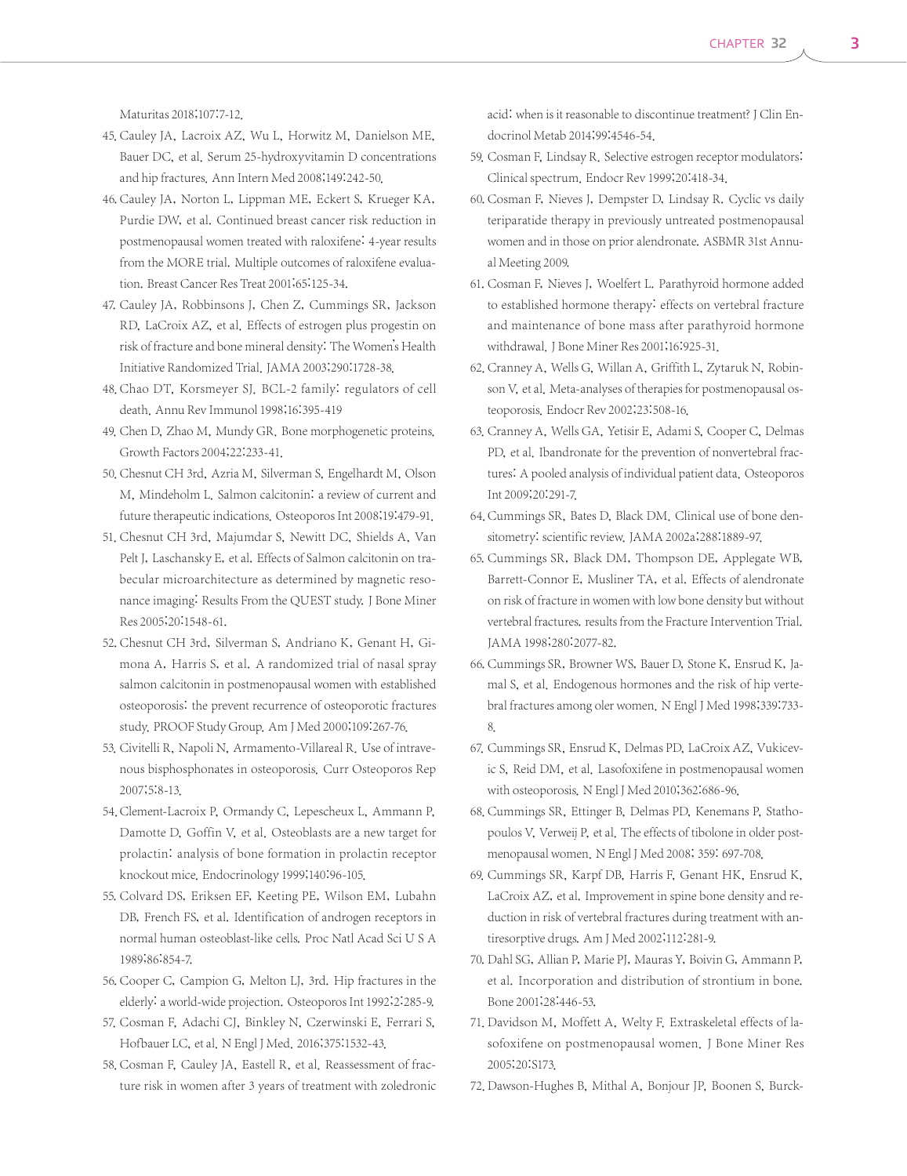Maturitas 2018;107:7-12.

- 45. Cauley JA, Lacroix AZ, Wu L, Horwitz M, Danielson ME, Bauer DC, et al. Serum 25-hydroxyvitamin D concentrations and hip fractures. Ann Intern Med 2008;149:242-50.
- 46. Cauley JA, Norton L, Lippman ME, Eckert S, Krueger KA, Purdie DW, et al. Continued breast cancer risk reduction in postmenopausal women treated with raloxifene: 4-year results from the MORE trial. Multiple outcomes of raloxifene evaluation. Breast Cancer Res Treat 2001;65:125-34.
- 47. Cauley JA, Robbinsons J, Chen Z, Cummings SR, Jackson RD, LaCroix AZ, et al. Effects of estrogen plus progestin on risk of fracture and bone mineral density: The Women's Health Initiative Randomized Trial. JAMA 2003;290:1728-38.
- 48. Chao DT, Korsmeyer SJ. BCL-2 family: regulators of cell death. Annu Rev Immunol 1998;16:395-419
- 49. Chen D, Zhao M, Mundy GR. Bone morphogenetic proteins. Growth Factors 2004;22:233-41.
- 50. Chesnut CH 3rd, Azria M, Silverman S, Engelhardt M, Olson M, Mindeholm L. Salmon calcitonin: a review of current and future therapeutic indications. Osteoporos Int 2008;19:479-91.
- 51. Chesnut CH 3rd, Majumdar S, Newitt DC, Shields A, Van Pelt J, Laschansky E, et al. Effects of Salmon calcitonin on trabecular microarchitecture as determined by magnetic resonance imaging: Results From the QUEST study. J Bone Miner Res 2005;20:1548-61.
- 52. Chesnut CH 3rd, Silverman S, Andriano K, Genant H, Gimona A, Harris S, et al. A randomized trial of nasal spray salmon calcitonin in postmenopausal women with established osteoporosis: the prevent recurrence of osteoporotic fractures study. PROOF Study Group. Am J Med 2000;109:267-76.
- 53. Civitelli R, Napoli N, Armamento-Villareal R. Use of intravenous bisphosphonates in osteoporosis. Curr Osteoporos Rep 2007;5:8-13.
- 54. Clement-Lacroix P, Ormandy C, Lepescheux L, Ammann P, Damotte D, Goffin V, et al. Osteoblasts are a new target for prolactin: analysis of bone formation in prolactin receptor knockout mice. Endocrinology 1999;140:96-105.
- 55. Colvard DS, Eriksen EF, Keeting PE, Wilson EM, Lubahn DB, French FS, et al. Identification of androgen receptors in normal human osteoblast-like cells. Proc Natl Acad Sci U S A 1989;86:854-7.
- 56. Cooper C, Campion G, Melton LJ, 3rd. Hip fractures in the elderly: a world-wide projection. Osteoporos Int 1992;2:285-9.
- 57. Cosman F, Adachi CJ, Binkley N, Czerwinski E, Ferrari S, Hofbauer LC, et al. N Engl J Med. 2016;375:1532-43.
- 58. Cosman F, Cauley JA, Eastell R, et al. Reassessment of fracture risk in women after 3 years of treatment with zoledronic

acid: when is it reasonable to discontinue treatment? J Clin Endocrinol Metab 2014;99:4546-54.

- 59. Cosman F, Lindsay R. Selective estrogen receptor modulators: Clinical spectrum. Endocr Rev 1999;20:418-34.
- 60. Cosman F, Nieves J, Dempster D, Lindsay R. Cyclic vs daily teriparatide therapy in previously untreated postmenopausal women and in those on prior alendronate. ASBMR 31st Annual Meeting 2009.
- 61. Cosman F, Nieves J, Woelfert L. Parathyroid hormone added to established hormone therapy: effects on vertebral fracture and maintenance of bone mass after parathyroid hormone withdrawal. J Bone Miner Res 2001;16:925-31.
- 62. Cranney A, Wells G, Willan A, Griffith L, Zytaruk N, Robinson V, et al. Meta-analyses of therapies for postmenopausal osteoporosis. Endocr Rev 2002;23:508-16.
- 63. Cranney A, Wells GA, Yetisir E, Adami S, Cooper C, Delmas PD, et al. Ibandronate for the prevention of nonvertebral fractures: A pooled analysis of individual patient data. Osteoporos Int 2009;20:291-7.
- 64. Cummings SR, Bates D, Black DM. Clinical use of bone densitometry: scientific review. JAMA 2002a;288:1889-97.
- 65. Cummings SR, Black DM, Thompson DE, Applegate WB, Barrett-Connor E, Musliner TA, et al. Effects of alendronate on risk of fracture in women with low bone density but without vertebral fractures. results from the Fracture Intervention Trial. JAMA 1998;280:2077-82.
- 66. Cummings SR, Browner WS, Bauer D, Stone K, Ensrud K, Jamal S, et al. Endogenous hormones and the risk of hip vertebral fractures among oler women. N Engl J Med 1998;339:733- 8.
- 67. Cummings SR, Ensrud K, Delmas PD, LaCroix AZ, Vukicevic S, Reid DM, et al. Lasofoxifene in postmenopausal women with osteoporosis. N Engl J Med 2010;362:686-96.
- 68. Cummings SR, Ettinger B, Delmas PD, Kenemans P, Stathopoulos V, Verweij P, et al. The effects of tibolone in older postmenopausal women. N Engl J Med 2008; 359: 697-708.
- 69. Cummings SR, Karpf DB, Harris F, Genant HK, Ensrud K, LaCroix AZ, et al. Improvement in spine bone density and reduction in risk of vertebral fractures during treatment with antiresorptive drugs. Am J Med 2002;112:281-9.
- 70. Dahl SG, Allian P, Marie PJ, Mauras Y, Boivin G, Ammann P, et al. Incorporation and distribution of strontium in bone. Bone 2001;28:446-53.
- 71. Davidson M, Moffett A, Welty F. Extraskeletal effects of lasofoxifene on postmenopausal women. J Bone Miner Res 2005;20:S173.
- 72. Dawson-Hughes B, Mithal A, Bonjour JP, Boonen S, Burck-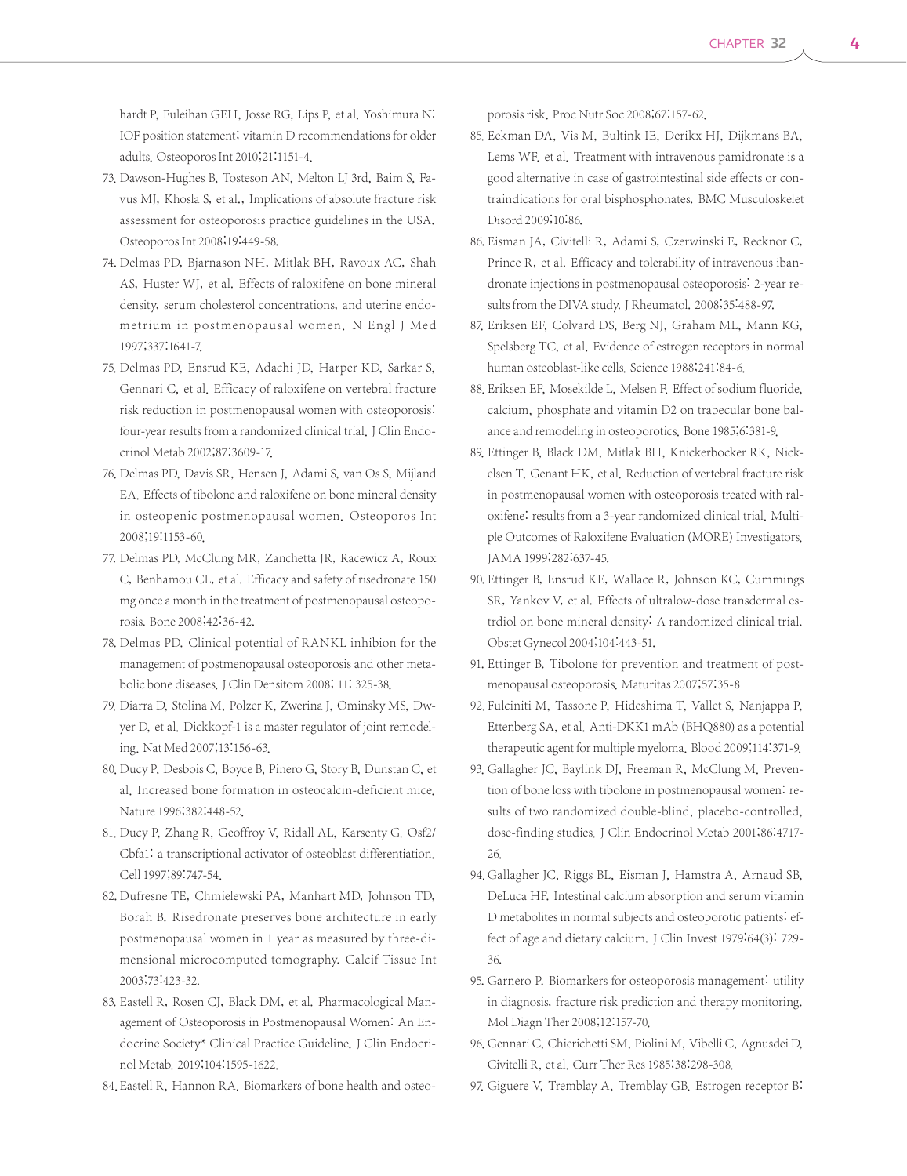hardt P, Fuleihan GEH, Josse RG, Lips P, et al. Yoshimura N: IOF position statement; vitamin D recommendations for older adults. Osteoporos Int 2010;21:1151-4.

- 73. Dawson-Hughes B, Tosteson AN, Melton LJ 3rd, Baim S, Favus MJ, Khosla S, et al., Implications of absolute fracture risk assessment for osteoporosis practice guidelines in the USA. Osteoporos Int 2008;19:449-58.
- 74. Delmas PD, Bjarnason NH, Mitlak BH, Ravoux AC, Shah AS, Huster WJ, et al. Effects of raloxifene on bone mineral density, serum cholesterol concentrations, and uterine endometrium in postmenopausal women. N Engl J Med 1997;337:1641-7.
- 75. Delmas PD, Ensrud KE, Adachi JD, Harper KD, Sarkar S, Gennari C, et al. Efficacy of raloxifene on vertebral fracture risk reduction in postmenopausal women with osteoporosis: four-year results from a randomized clinical trial. J Clin Endocrinol Metab 2002;87:3609-17.
- 76. Delmas PD, Davis SR, Hensen J, Adami S, van Os S, Mijland EA. Effects of tibolone and raloxifene on bone mineral density in osteopenic postmenopausal women. Osteoporos Int 2008;19:1153-60.
- 77. Delmas PD, McClung MR, Zanchetta JR, Racewicz A, Roux C, Benhamou CL, et al. Efficacy and safety of risedronate 150 mg once a month in the treatment of postmenopausal osteoporosis. Bone 2008;42:36-42.
- 78. Delmas PD. Clinical potential of RANKL inhibion for the management of postmenopausal osteoporosis and other metabolic bone diseases. J Clin Densitom 2008; 11: 325-38.
- 79. Diarra D, Stolina M, Polzer K, Zwerina J, Ominsky MS, Dwyer D, et al. Dickkopf-1 is a master regulator of joint remodeling. Nat Med 2007;13:156-63.
- 80. Ducy P, Desbois C, Boyce B, Pinero G, Story B, Dunstan C, et al. Increased bone formation in osteocalcin-deficient mice. Nature 1996;382:448-52.
- 81. Ducy P, Zhang R, Geoffroy V, Ridall AL, Karsenty G. Osf2/ Cbfa1: a transcriptional activator of osteoblast differentiation. Cell 1997;89:747-54.
- 82. Dufresne TE, Chmielewski PA, Manhart MD, Johnson TD, Borah B. Risedronate preserves bone architecture in early postmenopausal women in 1 year as measured by three-dimensional microcomputed tomography. Calcif Tissue Int 2003;73:423-32.
- 83. Eastell R, Rosen CJ, Black DM, et al. Pharmacological Management of Osteoporosis in Postmenopausal Women: An Endocrine Society\* Clinical Practice Guideline. J Clin Endocrinol Metab. 2019;104:1595-1622.
- 84. Eastell R, Hannon RA. Biomarkers of bone health and osteo-

porosis risk. Proc Nutr Soc 2008;67:157-62.

- 85. Eekman DA, Vis M, Bultink IE, Derikx HJ, Dijkmans BA, Lems WF. et al. Treatment with intravenous pamidronate is a good alternative in case of gastrointestinal side effects or contraindications for oral bisphosphonates. BMC Musculoskelet Disord 2009;10:86.
- 86. Eisman JA, Civitelli R, Adami S, Czerwinski E, Recknor C, Prince R, et al. Efficacy and tolerability of intravenous ibandronate injections in postmenopausal osteoporosis: 2-year results from the DIVA study. J Rheumatol. 2008;35:488-97.
- 87. Eriksen EF, Colvard DS, Berg NJ, Graham ML, Mann KG, Spelsberg TC, et al. Evidence of estrogen receptors in normal human osteoblast-like cells. Science 1988;241:84-6.
- 88. Eriksen EF, Mosekilde L, Melsen F. Effect of sodium fluoride, calcium, phosphate and vitamin D2 on trabecular bone balance and remodeling in osteoporotics. Bone 1985;6:381-9.
- 89. Ettinger B, Black DM, Mitlak BH, Knickerbocker RK, Nickelsen T, Genant HK, et al. Reduction of vertebral fracture risk in postmenopausal women with osteoporosis treated with raloxifene: results from a 3-year randomized clinical trial. Multiple Outcomes of Raloxifene Evaluation (MORE) Investigators. JAMA 1999;282:637-45.
- 90. Ettinger B, Ensrud KE, Wallace R, Johnson KC, Cummings SR, Yankov V, et al. Effects of ultralow-dose transdermal estrdiol on bone mineral density: A randomized clinical trial. Obstet Gynecol 2004;104:443-51.
- 91. Ettinger B. Tibolone for prevention and treatment of postmenopausal osteoporosis. Maturitas 2007;57:35-8
- 92. Fulciniti M, Tassone P, Hideshima T, Vallet S, Nanjappa P, Ettenberg SA, et al. Anti-DKK1 mAb (BHQ880) as a potential therapeutic agent for multiple myeloma. Blood 2009;114:371-9.
- 93. Gallagher JC, Baylink DJ, Freeman R, McClung M. Prevention of bone loss with tibolone in postmenopausal women: results of two randomized double-blind, placebo-controlled, dose-finding studies. J Clin Endocrinol Metab 2001;86:4717- 26.
- 94. Gallagher JC, Riggs BL, Eisman J, Hamstra A, Arnaud SB, DeLuca HF. Intestinal calcium absorption and serum vitamin D metabolites in normal subjects and osteoporotic patients: effect of age and dietary calcium. J Clin Invest 1979;64(3): 729- 36.
- 95. Garnero P. Biomarkers for osteoporosis management: utility in diagnosis, fracture risk prediction and therapy monitoring. Mol Diagn Ther 2008;12:157-70.
- 96. Gennari C, Chierichetti SM, Piolini M, Vibelli C, Agnusdei D, Civitelli R, et al. Curr Ther Res 1985;38:298-308.
- 97. Giguere V, Tremblay A, Tremblay GB. Estrogen receptor B: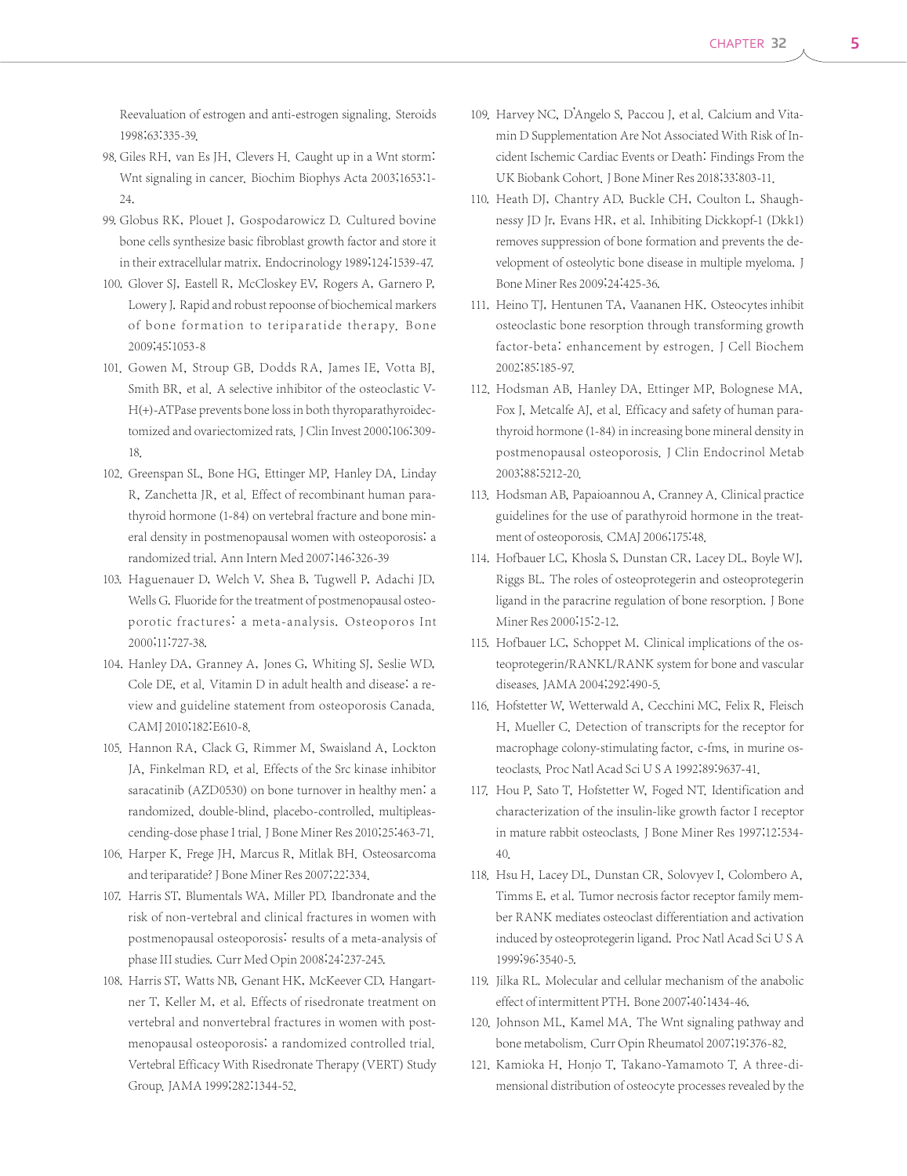Reevaluation of estrogen and anti-estrogen signaling. Steroids 1998;63:335-39.

- 98. Giles RH, van Es IH, Clevers H. Caught up in a Wnt storm: Wnt signaling in cancer. Biochim Biophys Acta 2003;1653:1- 24.
- 99. Globus RK, Plouet J, Gospodarowicz D. Cultured bovine bone cells synthesize basic fibroblast growth factor and store it in their extracellular matrix. Endocrinology 1989;124:1539-47.
- 100. Glover SJ, Eastell R, McCloskey EV, Rogers A, Garnero P, Lowery J. Rapid and robust repoonse of biochemical markers of bone formation to teriparatide therapy. Bone 2009;45:1053-8
- 101. Gowen M, Stroup GB, Dodds RA, James IE, Votta BJ, Smith BR, et al. A selective inhibitor of the osteoclastic V-H(+)-ATPase prevents bone loss in both thyroparathyroidectomized and ovariectomized rats. J Clin Invest 2000;106:309-18.
- 102. Greenspan SL, Bone HG, Ettinger MP, Hanley DA, Linday R, Zanchetta JR, et al. Effect of recombinant human parathyroid hormone (1-84) on vertebral fracture and bone mineral density in postmenopausal women with osteoporosis: a randomized trial. Ann Intern Med 2007;146:326-39
- 103. Haguenauer D, Welch V, Shea B, Tugwell P, Adachi JD, Wells G. Fluoride for the treatment of postmenopausal osteoporotic fractures: a meta-analysis. Osteoporos Int 2000;11:727-38.
- 104. Hanley DA, Granney A, Jones G, Whiting SJ, Seslie WD, Cole DE, et al. Vitamin D in adult health and disease: a review and guideline statement from osteoporosis Canada. CAMJ 2010;182:E610-8.
- 105. Hannon RA, Clack G, Rimmer M, Swaisland A, Lockton JA, Finkelman RD, et al. Effects of the Src kinase inhibitor saracatinib (AZD0530) on bone turnover in healthy men: a randomized, double-blind, placebo-controlled, multipleascending-dose phase I trial. J Bone Miner Res 2010;25:463-71.
- 106. Harper K, Frege JH, Marcus R, Mitlak BH. Osteosarcoma and teriparatide? J Bone Miner Res 2007;22:334.
- 107. Harris ST, Blumentals WA, Miller PD. Ibandronate and the risk of non-vertebral and clinical fractures in women with postmenopausal osteoporosis: results of a meta-analysis of phase III studies. Curr Med Opin 2008;24:237-245.
- 108. Harris ST, Watts NB, Genant HK, McKeever CD, Hangartner T, Keller M, et al. Effects of risedronate treatment on vertebral and nonvertebral fractures in women with postmenopausal osteoporosis: a randomized controlled trial. Vertebral Efficacy With Risedronate Therapy (VERT) Study Group. JAMA 1999;282:1344-52.
- 109. Harvey NC, D'Angelo S, Paccou J, et al. Calcium and Vitamin D Supplementation Are Not Associated With Risk of Incident Ischemic Cardiac Events or Death: Findings From the UK Biobank Cohort. J Bone Miner Res 2018;33:803-11.
- 110. Heath DJ, Chantry AD, Buckle CH, Coulton L, Shaughnessy JD Jr, Evans HR, et al. Inhibiting Dickkopf-1 (Dkk1) removes suppression of bone formation and prevents the development of osteolytic bone disease in multiple myeloma. J Bone Miner Res 2009;24:425-36.
- 111. Heino TJ, Hentunen TA, Vaananen HK. Osteocytes inhibit osteoclastic bone resorption through transforming growth factor-beta: enhancement by estrogen. J Cell Biochem 2002;85:185-97.
- 112. Hodsman AB, Hanley DA, Ettinger MP, Bolognese MA, Fox J, Metcalfe AJ, et al. Efficacy and safety of human parathyroid hormone (1-84) in increasing bone mineral density in postmenopausal osteoporosis. J Clin Endocrinol Metab 2003;88:5212-20.
- 113. Hodsman AB, Papaioannou A, Cranney A. Clinical practice guidelines for the use of parathyroid hormone in the treatment of osteoporosis. CMAJ 2006;175:48.
- 114. Hofbauer LC, Khosla S, Dunstan CR, Lacey DL, Boyle WJ, Riggs BL. The roles of osteoprotegerin and osteoprotegerin ligand in the paracrine regulation of bone resorption. J Bone Miner Res 2000;15:2-12.
- 115. Hofbauer LC, Schoppet M. Clinical implications of the osteoprotegerin/RANKL/RANK system for bone and vascular diseases.JAMA 2004;292:490-5.
- 116. Hofstetter W, Wetterwald A, Cecchini MC, Felix R, Fleisch H, Mueller C. Detection of transcripts for the receptor for macrophage colony-stimulating factor, c-fms, in murine osteoclasts. Proc Natl Acad Sci U S A 1992;89:9637-41.
- 117. Hou P, Sato T, Hofstetter W, Foged NT. Identification and characterization of the insulin-like growth factor I receptor in mature rabbit osteoclasts. J Bone Miner Res 1997;12:534- 40.
- 118. Hsu H, Lacey DL, Dunstan CR, Solovyev I, Colombero A, Timms E, et al. Tumor necrosis factor receptor family member RANK mediates osteoclast differentiation and activation induced by osteoprotegerin ligand. Proc Natl Acad Sci U S A 1999;96:3540-5.
- 119. Jilka RL. Molecular and cellular mechanism of the anabolic effect of intermittent PTH. Bone 2007;40:1434-46.
- 120. Johnson ML, Kamel MA. The Wnt signaling pathway and bone metabolism. Curr Opin Rheumatol 2007;19:376-82.
- 121. Kamioka H, Honjo T, Takano-Yamamoto T. A three-dimensional distribution of osteocyte processes revealed by the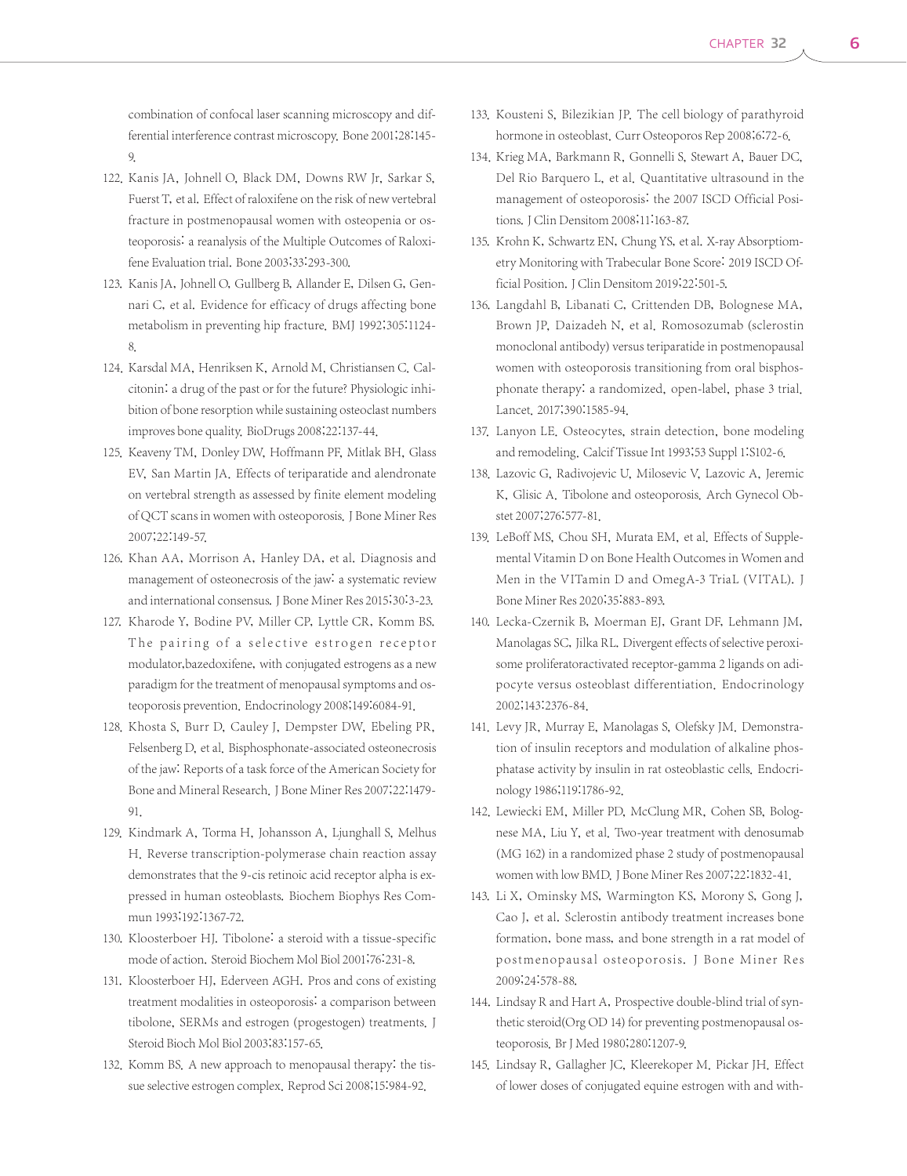combination of confocal laser scanning microscopy and differential interference contrast microscopy. Bone 2001;28:145- 9.

- 122. Kanis JA, Johnell O, Black DM, Downs RW Jr, Sarkar S, Fuerst T, et al. Effect of raloxifene on the risk of new vertebral fracture in postmenopausal women with osteopenia or osteoporosis: a reanalysis of the Multiple Outcomes of Raloxifene Evaluation trial. Bone 2003;33:293-300.
- 123. Kanis JA, Johnell O, Gullberg B, Allander E, Dilsen G, Gennari C, et al. Evidence for efficacy of drugs affecting bone metabolism in preventing hip fracture. BMJ 1992;305:1124- 8.
- 124. Karsdal MA, Henriksen K, Arnold M, Christiansen C. Calcitonin: a drug of the past or for the future? Physiologic inhibition of bone resorption while sustaining osteoclast numbers improves bone quality. BioDrugs 2008;22:137-44.
- 125. Keaveny TM, Donley DW, Hoffmann PF, Mitlak BH, Glass EV, San Martin JA. Effects of teriparatide and alendronate on vertebral strength as assessed by finite element modeling of QCT scans in women with osteoporosis. J Bone Miner Res 2007;22:149-57.
- 126. Khan AA, Morrison A, Hanley DA, et al. Diagnosis and management of osteonecrosis of the jaw: a systematic review and international consensus. J Bone Miner Res 2015;30:3-23.
- 127. Kharode Y, Bodine PV, Miller CP, Lyttle CR, Komm BS. The pairing of a selective estrogen receptor modulator,bazedoxifene, with conjugated estrogens as a new paradigm for the treatment of menopausal symptoms and osteoporosis prevention. Endocrinology 2008;149:6084-91.
- 128. Khosta S, Burr D, Cauley J, Dempster DW, Ebeling PR, Felsenberg D, et al. Bisphosphonate-associated osteonecrosis of the jaw: Reports of a task force of the American Society for Bone and Mineral Research. J Bone Miner Res 2007;22:1479- 91.
- 129. Kindmark A, Torma H, Johansson A, Ljunghall S, Melhus H. Reverse transcription-polymerase chain reaction assay demonstrates that the 9-cis retinoic acid receptor alpha is expressed in human osteoblasts. Biochem Biophys Res Commun 1993;192:1367-72.
- 130. Kloosterboer HJ. Tibolone: a steroid with a tissue-specific mode of action. Steroid Biochem Mol Biol 2001;76:231-8.
- 131. Kloosterboer HJ, Ederveen AGH. Pros and cons of existing treatment modalities in osteoporosis: a comparison between tibolone, SERMs and estrogen (progestogen) treatments. J Steroid Bioch Mol Biol 2003;83:157-65.
- 132. Komm BS. A new approach to menopausal therapy: the tissue selective estrogen complex. Reprod Sci 2008;15:984-92.
- 133. Kousteni S, Bilezikian JP. The cell biology of parathyroid hormone in osteoblast. Curr Osteoporos Rep 2008;6:72-6.
- 134. Krieg MA, Barkmann R, Gonnelli S, Stewart A, Bauer DC, Del Rio Barquero L, et al. Quantitative ultrasound in the management of osteoporosis: the 2007 ISCD Official Positions.J Clin Densitom 2008;11:163-87.
- 135. Krohn K, Schwartz EN, Chung YS, et al. X-ray Absorptiometry Monitoring with Trabecular Bone Score: 2019 ISCD Official Position. J Clin Densitom 2019;22:501-5.
- 136. Langdahl B, Libanati C, Crittenden DB, Bolognese MA, Brown JP, Daizadeh N, et al. Romosozumab (sclerostin monoclonal antibody) versus teriparatide in postmenopausal women with osteoporosis transitioning from oral bisphosphonate therapy: a randomized, open-label, phase 3 trial. Lancet. 2017;390:1585-94.
- 137. Lanyon LE. Osteocytes, strain detection, bone modeling and remodeling. Calcif Tissue Int 1993;53 Suppl 1:S102-6.
- 138. Lazovic G, Radivojevic U, Milosevic V, Lazovic A, Jeremic K, Glisic A. Tibolone and osteoporosis. Arch Gynecol Obstet 2007;276:577-81.
- 139. LeBoff MS, Chou SH, Murata EM, et al. Effects of Supplemental Vitamin D on Bone Health Outcomes in Women and Men in the VITamin D and OmegA-3 TriaL (VITAL). J Bone Miner Res 2020;35:883-893.
- 140. Lecka-Czernik B, Moerman EJ, Grant DF, Lehmann JM, Manolagas SC, Jilka RL. Divergent effects of selective peroxisome proliferatoractivated receptor-gamma 2 ligands on adipocyte versus osteoblast differentiation. Endocrinology 2002;143:2376-84.
- 141. Levy JR, Murray E, Manolagas S, Olefsky JM. Demonstration of insulin receptors and modulation of alkaline phosphatase activity by insulin in rat osteoblastic cells. Endocrinology 1986;119:1786-92.
- 142. Lewiecki EM, Miller PD, McClung MR, Cohen SB, Bolognese MA, Liu Y, et al. Two-year treatment with denosumab (MG 162) in a randomized phase 2 study of postmenopausal women with low BMD.J Bone Miner Res 2007;22:1832-41.
- 143. Li X, Ominsky MS, Warmington KS, Morony S, Gong J, Cao J, et al. Sclerostin antibody treatment increases bone formation, bone mass, and bone strength in a rat model of postmenopausal osteoporosis. J Bone Miner Res 2009;24:578-88.
- 144. Lindsay R and Hart A, Prospective double-blind trial of synthetic steroid(Org OD 14) for preventing postmenopausal osteoporosis. Br J Med 1980;280:1207-9.
- 145. Lindsay R, Gallagher JC, Kleerekoper M. Pickar JH. Effect of lower doses of conjugated equine estrogen with and with-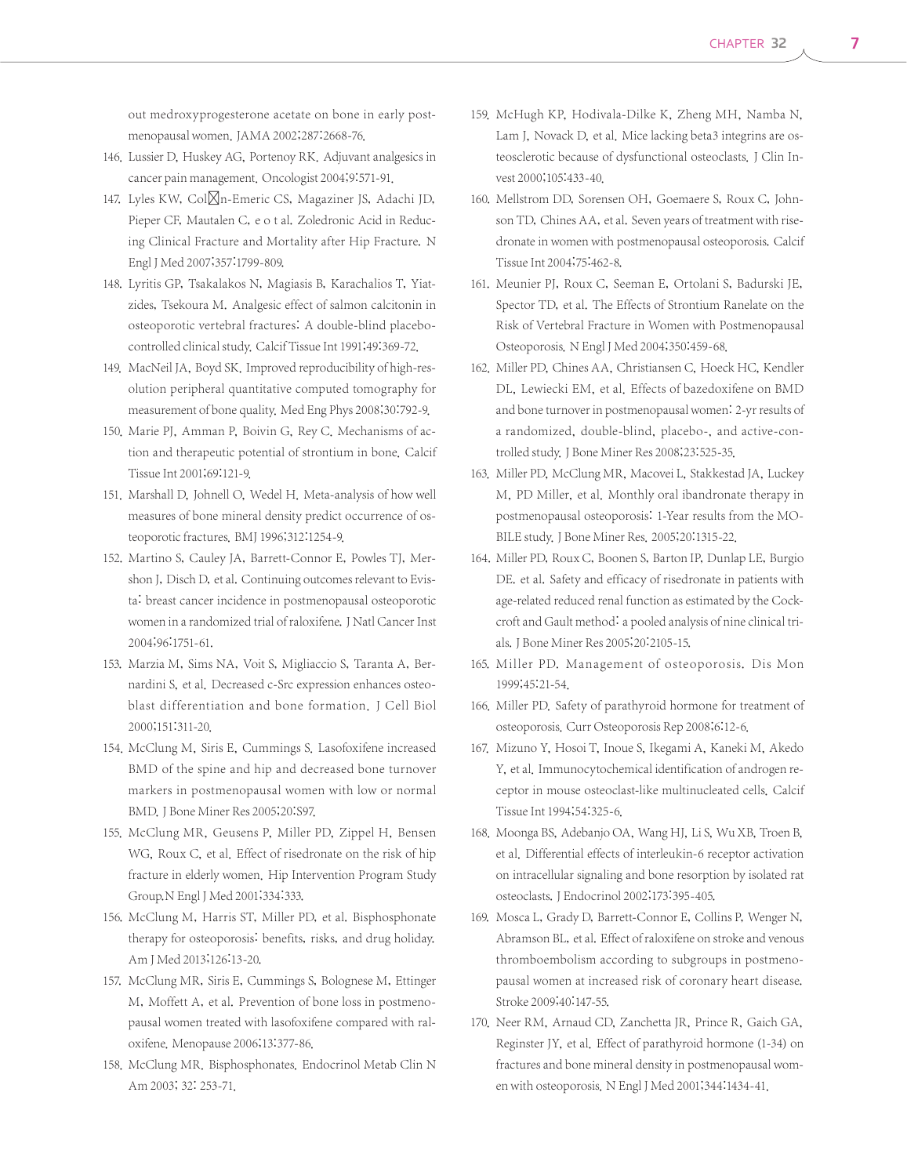out medroxyprogesterone acetate on bone in early postmenopausal women. JAMA 2002;287:2668-76.

- 146. Lussier D, Huskey AG, Portenoy RK. Adjuvant analgesics in cancer pain management. Oncologist 2004;9:571-91.
- 147. Lyles KW, Col⊠n-Emeric CS, Magaziner JS, Adachi JD, Pieper CF, Mautalen C, e o t al. Zoledronic Acid in Reducing Clinical Fracture and Mortality after Hip Fracture. N Engl J Med 2007;357:1799-809.
- 148. Lyritis GP, Tsakalakos N, Magiasis B, Karachalios T, Yiatzides, Tsekoura M. Analgesic effect of salmon calcitonin in osteoporotic vertebral fractures: A double-blind placebocontrolled clinical study. Calcif Tissue Int 1991;49:369-72.
- 149. MacNeil JA, Boyd SK. Improved reproducibility of high-resolution peripheral quantitative computed tomography for measurement of bone quality. Med Eng Phys 2008;30:792-9.
- 150. Marie PJ, Amman P, Boivin G, Rey C. Mechanisms of action and therapeutic potential of strontium in bone. Calcif Tissue Int 2001;69:121-9.
- 151. Marshall D, Johnell O, Wedel H. Meta-analysis of how well measures of bone mineral density predict occurrence of osteoporotic fractures. BMJ 1996;312:1254-9.
- 152. Martino S, Cauley JA, Barrett-Connor E, Powles TJ, Mershon J, Disch D, et al. Continuing outcomes relevant to Evista: breast cancer incidence in postmenopausal osteoporotic women in a randomized trial of raloxifene. J Natl Cancer Inst 2004;96:1751-61.
- 153. Marzia M, Sims NA, Voit S, Migliaccio S, Taranta A, Bernardini S, et al. Decreased c-Src expression enhances osteoblast differentiation and bone formation. J Cell Biol 2000;151:311-20.
- 154. McClung M, Siris E, Cummings S. Lasofoxifene increased BMD of the spine and hip and decreased bone turnover markers in postmenopausal women with low or normal BMD. J Bone Miner Res 2005;20:S97.
- 155. McClung MR, Geusens P, Miller PD, Zippel H, Bensen WG, Roux C, et al. Effect of risedronate on the risk of hip fracture in elderly women. Hip Intervention Program Study Group.N Engl J Med 2001;334:333.
- 156. McClung M, Harris ST, Miller PD, et al. Bisphosphonate therapy for osteoporosis: benefits, risks, and drug holiday. Am J Med 2013;126:13-20.
- 157. McClung MR, Siris E, Cummings S, Bolognese M, Ettinger M, Moffett A, et al. Prevention of bone loss in postmenopausal women treated with lasofoxifene compared with raloxifene. Menopause 2006;13:377-86.
- 158. McClung MR. Bisphosphonates. Endocrinol Metab Clin N Am 2003; 32: 253-71.
- 159. McHugh KP, Hodivala-Dilke K, Zheng MH, Namba N, Lam J, Novack D, et al. Mice lacking beta3 integrins are osteosclerotic because of dysfunctional osteoclasts. J Clin Invest 2000;105:433-40.
- 160. Mellstrom DD, Sorensen OH, Goemaere S, Roux C, Johnson TD, Chines AA, et al. Seven years of treatment with risedronate in women with postmenopausal osteoporosis. Calcif Tissue Int 2004;75:462-8.
- 161. Meunier PJ, Roux C, Seeman E, Ortolani S, Badurski JE, Spector TD, et al. The Effects of Strontium Ranelate on the Risk of Vertebral Fracture in Women with Postmenopausal Osteoporosis. N Engl J Med 2004;350:459-68.
- 162. Miller PD, Chines AA, Christiansen C, Hoeck HC, Kendler DL, Lewiecki EM, et al. Effects of bazedoxifene on BMD and bone turnover in postmenopausal women: 2-yr results of a randomized, double-blind, placebo-, and active-controlled study. J Bone Miner Res 2008;23:525-35.
- 163. Miller PD, McClung MR, Macovei L, Stakkestad JA, Luckey M, PD Miller, et al. Monthly oral ibandronate therapy in postmenopausal osteoporosis: 1-Year results from the MO-BILE study. J Bone Miner Res. 2005;20:1315-22.
- 164. Miller PD, Roux C, Boonen S, Barton IP, Dunlap LE, Burgio DE. et al. Safety and efficacy of risedronate in patients with age-related reduced renal function as estimated by the Cockcroft and Gault method: a pooled analysis of nine clinical trials.J Bone Miner Res 2005;20:2105-15.
- 165. Miller PD. Management of osteoporosis. Dis Mon 1999;45:21-54.
- 166. Miller PD. Safety of parathyroid hormone for treatment of osteoporosis. Curr Osteoporosis Rep 2008;6:12-6.
- 167. Mizuno Y, Hosoi T, Inoue S, Ikegami A, Kaneki M, Akedo Y, et al. Immunocytochemical identification of androgen receptor in mouse osteoclast-like multinucleated cells. Calcif Tissue Int 1994;54:325-6.
- 168. Moonga BS, Adebanjo OA, Wang HJ, Li S, Wu XB, Troen B, et al. Differential effects of interleukin-6 receptor activation on intracellular signaling and bone resorption by isolated rat osteoclasts.J Endocrinol 2002;173:395-405.
- 169. Mosca L, Grady D, Barrett-Connor E, Collins P, Wenger N, Abramson BL, et al. Effect of raloxifene on stroke and venous thromboembolism according to subgroups in postmenopausal women at increased risk of coronary heart disease. Stroke 2009;40:147-55.
- 170. Neer RM, Arnaud CD, Zanchetta JR, Prince R, Gaich GA, Reginster JY, et al. Effect of parathyroid hormone (1-34) on fractures and bone mineral density in postmenopausal women with osteoporosis. N Engl J Med 2001;344:1434-41.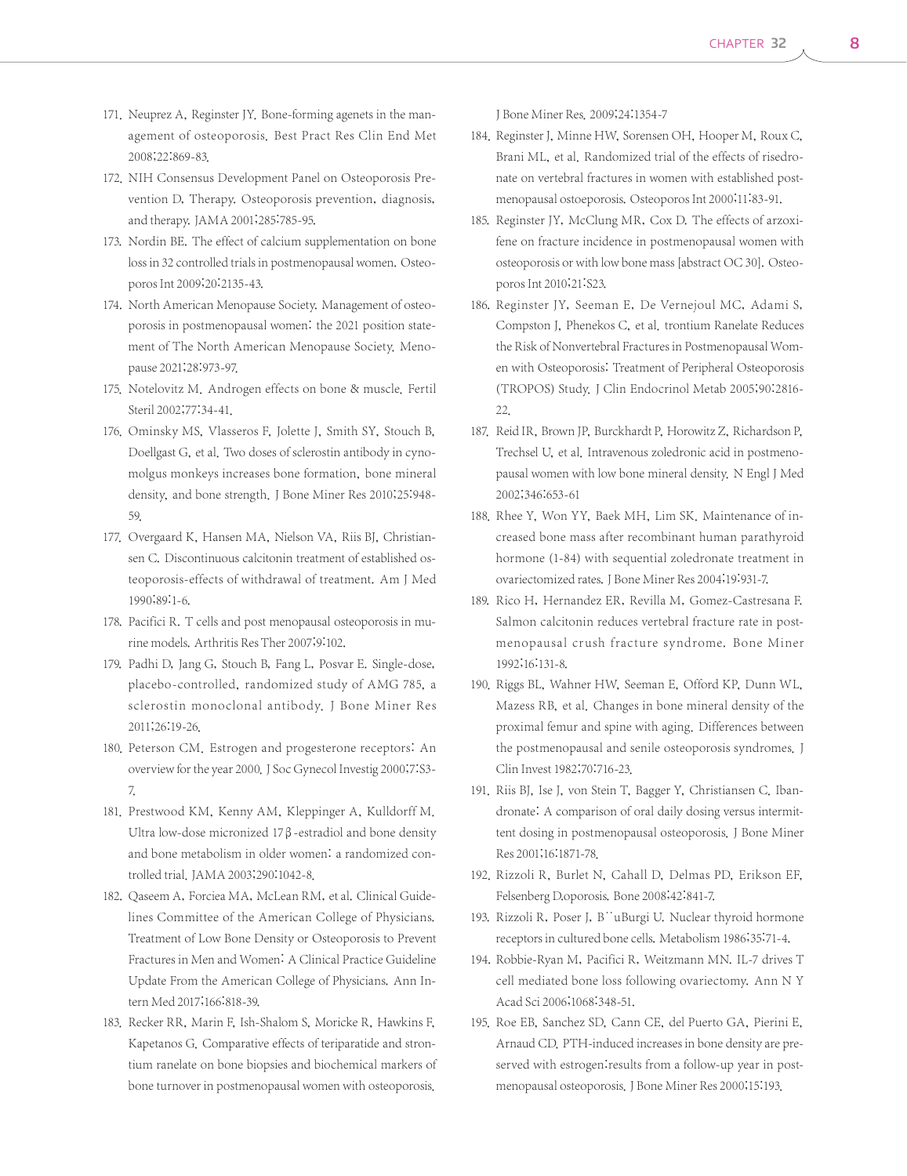- 171. Neuprez A, Reginster JY. Bone-forming agenets in the management of osteoporosis. Best Pract Res Clin End Met 2008;22:869-83.
- 172. NIH Consensus Development Panel on Osteoporosis Prevention D, Therapy. Osteoporosis prevention, diagnosis, and therapy. JAMA 2001;285:785-95.
- 173. Nordin BE. The effect of calcium supplementation on bone loss in 32 controlled trials in postmenopausal women. Osteoporos Int 2009;20:2135-43.
- 174. North American Menopause Society. Management of osteoporosis in postmenopausal women: the 2021 position statement of The North American Menopause Society. Menopause 2021;28:973-97.
- 175. Notelovitz M. Androgen effects on bone & muscle. Fertil Steril 2002;77:34-41.
- 176. Ominsky MS, Vlasseros F, Jolette J, Smith SY, Stouch B, Doellgast G, et al. Two doses of sclerostin antibody in cynomolgus monkeys increases bone formation, bone mineral density, and bone strength. J Bone Miner Res 2010;25:948- 59.
- 177. Overgaard K, Hansen MA, Nielson VA, Riis BJ, Christiansen C. Discontinuous calcitonin treatment of established osteoporosis-effects of withdrawal of treatment. Am J Med 1990;89:1-6.
- 178. Pacifici R. T cells and post menopausal osteoporosis in murine models. Arthritis Res Ther 2007;9:102.
- 179. Padhi D, Jang G, Stouch B, Fang L, Posvar E. Single-dose, placebo-controlled, randomized study of AMG 785, a sclerostin monoclonal antibody. J Bone Miner Res 2011;26:19-26.
- 180. Peterson CM. Estrogen and progesterone receptors: An overview for the year 2000. J Soc Gynecol Investig 2000;7:S3-7.
- 181. Prestwood KM, Kenny AM, Kleppinger A, Kulldorff M. Ultra low-dose micronized 17β-estradiol and bone density and bone metabolism in older women: a randomized controlled trial. JAMA 2003;290:1042-8.
- 182. Qaseem A, Forciea MA, McLean RM, et al. Clinical Guidelines Committee of the American College of Physicians. Treatment of Low Bone Density or Osteoporosis to Prevent Fractures in Men and Women: A Clinical Practice Guideline Update From the American College of Physicians. Ann Intern Med 2017;166:818-39.
- 183. Recker RR, Marin F, Ish-Shalom S, Moricke R, Hawkins F, Kapetanos G. Comparative effects of teriparatide and strontium ranelate on bone biopsies and biochemical markers of bone turnover in postmenopausal women with osteoporosis.

J Bone Miner Res. 2009;24:1354-7

- 184. Reginster J, Minne HW, Sorensen OH, Hooper M, Roux C, Brani ML, et al. Randomized trial of the effects of risedronate on vertebral fractures in women with established postmenopausal ostoeporosis. Osteoporos Int 2000;11:83-91.
- 185. Reginster JY, McClung MR, Cox D. The effects of arzoxifene on fracture incidence in postmenopausal women with osteoporosis or with low bone mass [abstract OC 30]. Osteoporos Int 2010;21:S23.
- 186. Reginster JY, Seeman E, De Vernejoul MC, Adami S, Compston J, Phenekos C, et al. trontium Ranelate Reduces the Risk of Nonvertebral Fractures in Postmenopausal Women with Osteoporosis: Treatment of Peripheral Osteoporosis (TROPOS) Study. J Clin Endocrinol Metab 2005;90:2816- 22.
- 187. Reid IR, Brown JP, Burckhardt P, Horowitz Z, Richardson P, Trechsel U, et al. Intravenous zoledronic acid in postmenopausal women with low bone mineral density. N Engl J Med 2002;346:653-61
- 188. Rhee Y, Won YY, Baek MH, Lim SK. Maintenance of increased bone mass after recombinant human parathyroid hormone (1-84) with sequential zoledronate treatment in ovariectomized rates. J Bone Miner Res 2004;19:931-7.
- 189. Rico H, Hernandez ER, Revilla M, Gomez-Castresana F. Salmon calcitonin reduces vertebral fracture rate in postmenopausal crush fracture syndrome. Bone Miner 1992;16:131-8.
- 190. Riggs BL, Wahner HW, Seeman E, Offord KP, Dunn WL, Mazess RB, et al. Changes in bone mineral density of the proximal femur and spine with aging. Differences between the postmenopausal and senile osteoporosis syndromes. J Clin Invest 1982;70:716-23.
- 191. Riis BJ, Ise J, von Stein T, Bagger Y, Christiansen C. Ibandronate: A comparison of oral daily dosing versus intermittent dosing in postmenopausal osteoporosis. J Bone Miner Res 2001;16:1871-78.
- 192. Rizzoli R, Burlet N, Cahall D, Delmas PD, Erikson EF, Felsenberg D.oporosis. Bone 2008;42:841-7.
- 193. Rizzoli R, Poser J, B<sup>"</sup>uBurgi U. Nuclear thyroid hormone receptors in cultured bone cells. Metabolism 1986;35:71-4.
- 194. Robbie-Ryan M, Pacifici R, Weitzmann MN. IL-7 drives T cell mediated bone loss following ovariectomy. Ann N Y Acad Sci 2006;1068:348-51.
- 195. Roe EB, Sanchez SD, Cann CE, del Puerto GA, Pierini E, Arnaud CD. PTH-induced increases in bone density are preserved with estrogen: results from a follow-up year in postmenopausal osteoporosis. J Bone Miner Res 2000;15:193.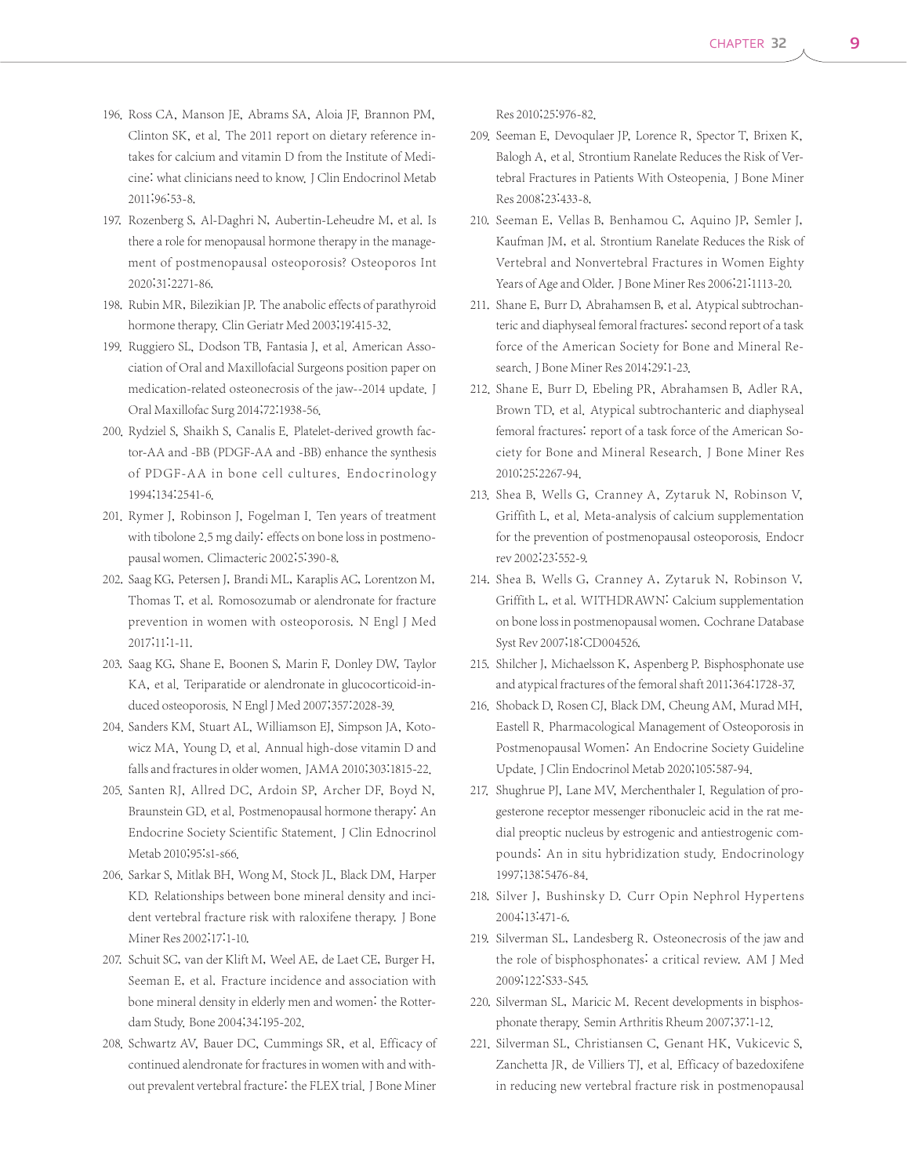- 196. Ross CA, Manson JE, Abrams SA, Aloia JF, Brannon PM, Clinton SK, et al. The 2011 report on dietary reference intakes for calcium and vitamin D from the Institute of Medicine: what clinicians need to know. J Clin Endocrinol Metab 2011;96:53-8.
- 197. Rozenberg S, Al-Daghri N, Aubertin-Leheudre M, et al. Is there a role for menopausal hormone therapy in the management of postmenopausal osteoporosis? Osteoporos Int 2020;31:2271-86.
- 198. Rubin MR, Bilezikian JP. The anabolic effects of parathyroid hormone therapy. Clin Geriatr Med 2003;19:415-32.
- 199. Ruggiero SL, Dodson TB, Fantasia J, et al. American Association of Oral and Maxillofacial Surgeons position paper on medication-related osteonecrosis of the jaw--2014 update. J Oral Maxillofac Surg 2014;72:1938-56.
- 200. Rydziel S, Shaikh S, Canalis E. Platelet-derived growth factor-AA and -BB (PDGF-AA and -BB) enhance the synthesis of PDGF-AA in bone cell cultures. Endocrinology 1994;134:2541-6.
- 201. Rymer J, Robinson J, Fogelman I. Ten years of treatment with tibolone 2.5 mg daily: effects on bone loss in postmenopausal women. Climacteric 2002;5:390-8.
- 202. Saag KG, Petersen J, Brandi ML, Karaplis AC, Lorentzon M, Thomas T, et al. Romosozumab or alendronate for fracture prevention in women with osteoporosis. N Engl J Med 2017;11:1-11.
- 203. Saag KG, Shane E, Boonen S, Marin F, Donley DW, Taylor KA, et al. Teriparatide or alendronate in glucocorticoid-induced osteoporosis. N Engl J Med 2007;357:2028-39.
- 204. Sanders KM, Stuart AL, Williamson EJ, Simpson JA, Kotowicz MA, Young D, et al. Annual high-dose vitamin D and falls and fractures in older women. JAMA 2010;303:1815-22.
- 205. Santen RJ, Allred DC, Ardoin SP, Archer DF, Boyd N, Braunstein GD, et al. Postmenopausal hormone therapy: An Endocrine Society Scientific Statement. J Clin Ednocrinol Metab 2010;95:s1-s66.
- 206. Sarkar S, Mitlak BH, Wong M, Stock JL, Black DM, Harper KD. Relationships between bone mineral density and incident vertebral fracture risk with raloxifene therapy. J Bone Miner Res 2002;17:1-10.
- 207. Schuit SC, van der Klift M, Weel AE, de Laet CE, Burger H, Seeman E, et al. Fracture incidence and association with bone mineral density in elderly men and women: the Rotterdam Study. Bone 2004;34:195-202.
- 208. Schwartz AV, Bauer DC, Cummings SR, et al. Efficacy of continued alendronate for fractures in women with and without prevalent vertebral fracture: the FLEX trial. J Bone Miner

Res 2010;25:976-82.

- 209. Seeman E, Devoqulaer JP, Lorence R, Spector T, Brixen K, Balogh A, et al. Strontium Ranelate Reduces the Risk of Vertebral Fractures in Patients With Osteopenia. J Bone Miner Res 2008;23:433-8.
- 210. Seeman E, Vellas B, Benhamou C, Aquino JP, Semler J, Kaufman JM, et al. Strontium Ranelate Reduces the Risk of Vertebral and Nonvertebral Fractures in Women Eighty Years of Age and Older. J Bone Miner Res 2006;21:1113-20.
- 211. Shane E, Burr D, Abrahamsen B, et al. Atypical subtrochanteric and diaphyseal femoral fractures: second report of a task force of the American Society for Bone and Mineral Research. J Bone Miner Res 2014;29:1-23.
- 212. Shane E, Burr D, Ebeling PR, Abrahamsen B, Adler RA, Brown TD, et al. Atypical subtrochanteric and diaphyseal femoral fractures: report of a task force of the American Society for Bone and Mineral Research. J Bone Miner Res 2010;25:2267-94.
- 213. Shea B, Wells G, Cranney A, Zytaruk N, Robinson V, Griffith L, et al. Meta-analysis of calcium supplementation for the prevention of postmenopausal osteoporosis. Endocr rev 2002;23:552-9.
- 214. Shea B, Wells G, Cranney A, Zytaruk N, Robinson V, Griffith L, et al. WITHDRAWN: Calcium supplementation on bone loss in postmenopausal women. Cochrane Database Syst Rev 2007;18:CD004526.
- 215. Shilcher J, Michaelsson K, Aspenberg P. Bisphosphonate use and atypical fractures of the femoral shaft 2011;364:1728-37.
- 216. Shoback D, Rosen CJ, Black DM, Cheung AM, Murad MH, Eastell R. Pharmacological Management of Osteoporosis in Postmenopausal Women: An Endocrine Society Guideline Update.J Clin Endocrinol Metab 2020;105:587-94.
- 217. Shughrue PJ, Lane MV, Merchenthaler I. Regulation of progesterone receptor messenger ribonucleic acid in the rat medial preoptic nucleus by estrogenic and antiestrogenic compounds: An in situ hybridization study. Endocrinology 1997;138:5476-84.
- 218. Silver J, Bushinsky D. Curr Opin Nephrol Hypertens 2004;13:471-6.
- 219. Silverman SL, Landesberg R. Osteonecrosis of the jaw and the role of bisphosphonates: a critical review. AM J Med 2009;122:S33-S45.
- 220. Silverman SL, Maricic M. Recent developments in bisphosphonate therapy. Semin Arthritis Rheum 2007;37:1-12.
- 221. Silverman SL, Christiansen C, Genant HK, Vukicevic S, Zanchetta JR, de Villiers TJ, et al. Efficacy of bazedoxifene in reducing new vertebral fracture risk in postmenopausal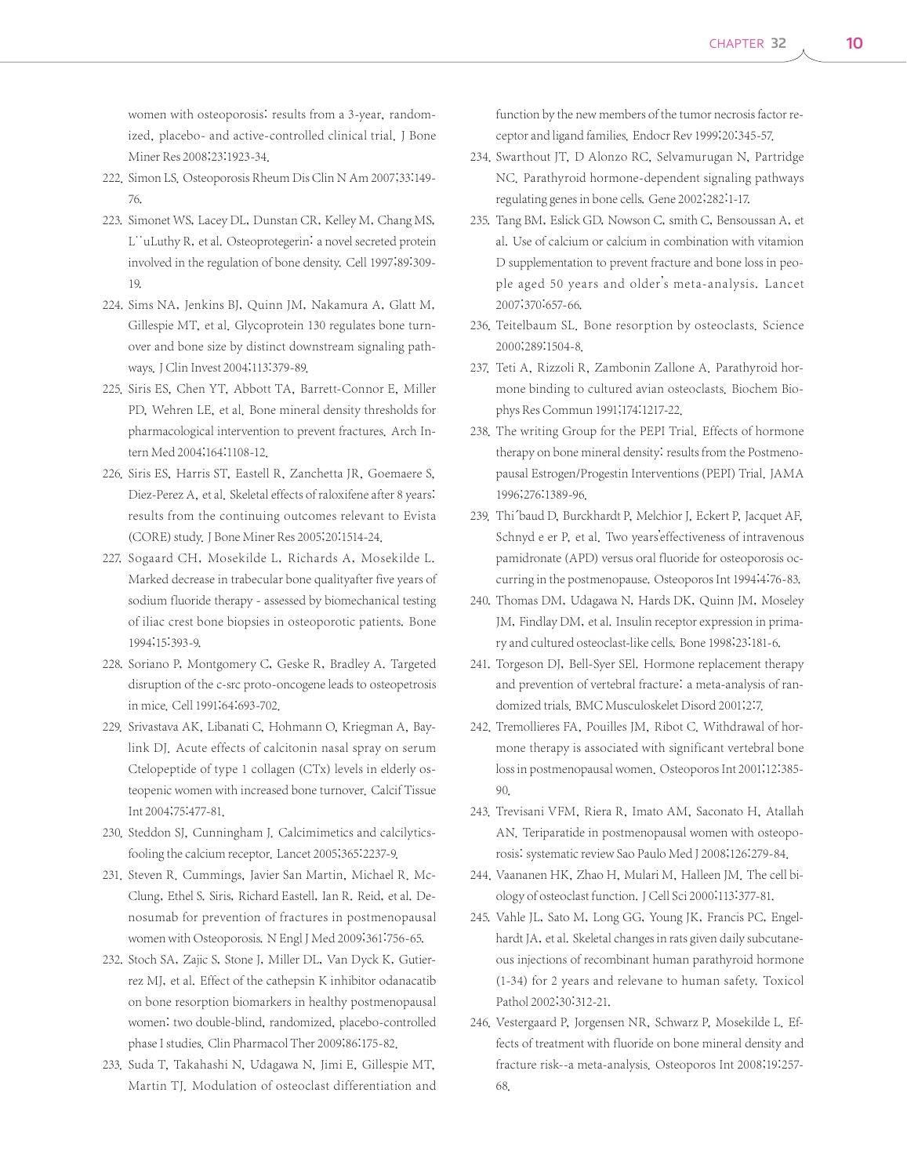women with osteoporosis: results from a 3-year, randomized, placebo- and active-controlled clinical trial. J Bone Miner Res 2008;23:1923-34.

- 222. Simon LS. Osteoporosis Rheum Dis Clin N Am 2007;33:149-76.
- 223. Simonet WS, Lacey DL, Dunstan CR, Kelley M, Chang MS, L<sup>"</sup>uLuthy R, et al. Osteoprotegerin: a novel secreted protein involved in the regulation of bone density. Cell 1997;89:309- 19.
- 224. Sims NA, Jenkins BJ, Quinn JM, Nakamura A, Glatt M, Gillespie MT, et al. Glycoprotein 130 regulates bone turnover and bone size by distinct downstream signaling pathways.J Clin Invest 2004;113:379-89.
- 225. Siris ES, Chen YT, Abbott TA, Barrett-Connor E, Miller PD, Wehren LE, et al. Bone mineral density thresholds for pharmacological intervention to prevent fractures. Arch Intern Med 2004;164:1108-12.
- 226. Siris ES, Harris ST, Eastell R, Zanchetta JR, Goemaere S, Diez-Perez A, et al. Skeletal effects of raloxifene after 8 years: results from the continuing outcomes relevant to Evista (CORE) study.J Bone Miner Res 2005;20:1514-24.
- 227. Sogaard CH, Mosekilde L, Richards A, Mosekilde L. Marked decrease in trabecular bone qualityafter five years of sodium fluoride therapy - assessed by biomechanical testing of iliac crest bone biopsies in osteoporotic patients. Bone 1994;15:393-9.
- 228. Soriano P, Montgomery C, Geske R, Bradley A. Targeted disruption of the c-src proto-oncogene leads to osteopetrosis in mice. Cell 1991;64:693-702.
- 229. Srivastava AK, Libanati C, Hohmann O, Kriegman A, Baylink DJ. Acute effects of calcitonin nasal spray on serum Ctelopeptide of type 1 collagen (CTx) levels in elderly osteopenic women with increased bone turnover. Calcif Tissue Int 2004;75:477-81.
- 230. Steddon SJ, Cunningham J. Calcimimetics and calcilyticsfooling the calcium receptor. Lancet 2005;365:2237-9.
- 231. Steven R. Cummings, Javier San Martin, Michael R. Mc-Clung, Ethel S. Siris, Richard Eastell, Ian R. Reid, et al. Denosumab for prevention of fractures in postmenopausal women with Osteoporosis. N Engl J Med 2009;361:756-65.
- 232. Stoch SA, Zajic S, Stone J, Miller DL, Van Dyck K, Gutierrez MJ, et al. Effect of the cathepsin K inhibitor odanacatib on bone resorption biomarkers in healthy postmenopausal women: two double-blind, randomized, placebo-controlled phase I studies. Clin Pharmacol Ther 2009;86:175-82.
- 233. Suda T, Takahashi N, Udagawa N, Jimi E, Gillespie MT, Martin TJ. Modulation of osteoclast differentiation and

function by the new members of the tumor necrosis factor receptor and ligand families. Endocr Rev 1999;20:345-57.

- 234. Swarthout JT, D Alonzo RC, Selvamurugan N, Partridge NC. Parathyroid hormone-dependent signaling pathways regulating genes in bone cells. Gene 2002;282:1-17.
- 235. Tang BM, Eslick GD, Nowson C, smith C, Bensoussan A, et al. Use of calcium or calcium in combination with vitamion D supplementation to prevent fracture and bone loss in people aged 50 years and older's meta-analysis. Lancet 2007;370:657-66.
- 236. Teitelbaum SL. Bone resorption by osteoclasts. Science 2000;289:1504-8.
- 237. Teti A, Rizzoli R, Zambonin Zallone A. Parathyroid hormone binding to cultured avian osteoclasts. Biochem Biophys Res Commun 1991;174:1217-22.
- 238. The writing Group for the PEPI Trial. Effects of hormone therapy on bone mineral density: results from the Postmenopausal Estrogen/Progestin Interventions (PEPI) Trial. JAMA 1996;276:1389-96.
- 239. Thi<sup>b</sup>aud D, Burckhardt P, Melchior J, Eckert P, Jacquet AF, Schnyd e er P, et al. Two years'effectiveness of intravenous pamidronate (APD) versus oral fluoride for osteoporosis occurring in the postmenopause. Osteoporos Int 1994;4:76-83.
- 240. Thomas DM, Udagawa N, Hards DK, Quinn JM, Moseley JM, Findlay DM, et al. Insulin receptor expression in primary and cultured osteoclast-like cells. Bone 1998;23:181-6.
- 241. Torgeson DJ, Bell-Syer SEl. Hormone replacement therapy and prevention of vertebral fracture: a meta-analysis of randomized trials. BMC Musculoskelet Disord 2001;2:7.
- 242. Tremollieres FA, Pouilles JM, Ribot C. Withdrawal of hormone therapy is associated with significant vertebral bone loss in postmenopausal women. Osteoporos Int 2001;12:385- 90.
- 243. Trevisani VFM, Riera R, Imato AM, Saconato H, Atallah AN. Teriparatide in postmenopausal women with osteoporosis: systematic review Sao Paulo Med J 2008;126:279-84.
- 244. Vaananen HK, Zhao H, Mulari M, Halleen JM. The cell biology of osteoclast function.J Cell Sci 2000;113:377-81.
- 245. Vahle JL, Sato M, Long GG, Young JK, Francis PC, Engelhardt JA, et al. Skeletal changes in rats given daily subcutaneous injections of recombinant human parathyroid hormone (1-34) for 2 years and relevane to human safety. Toxicol Pathol 2002;30:312-21.
- 246. Vestergaard P, Jorgensen NR, Schwarz P, Mosekilde L. Effects of treatment with fluoride on bone mineral density and fracture risk--a meta-analysis. Osteoporos Int 2008;19:257- 68.